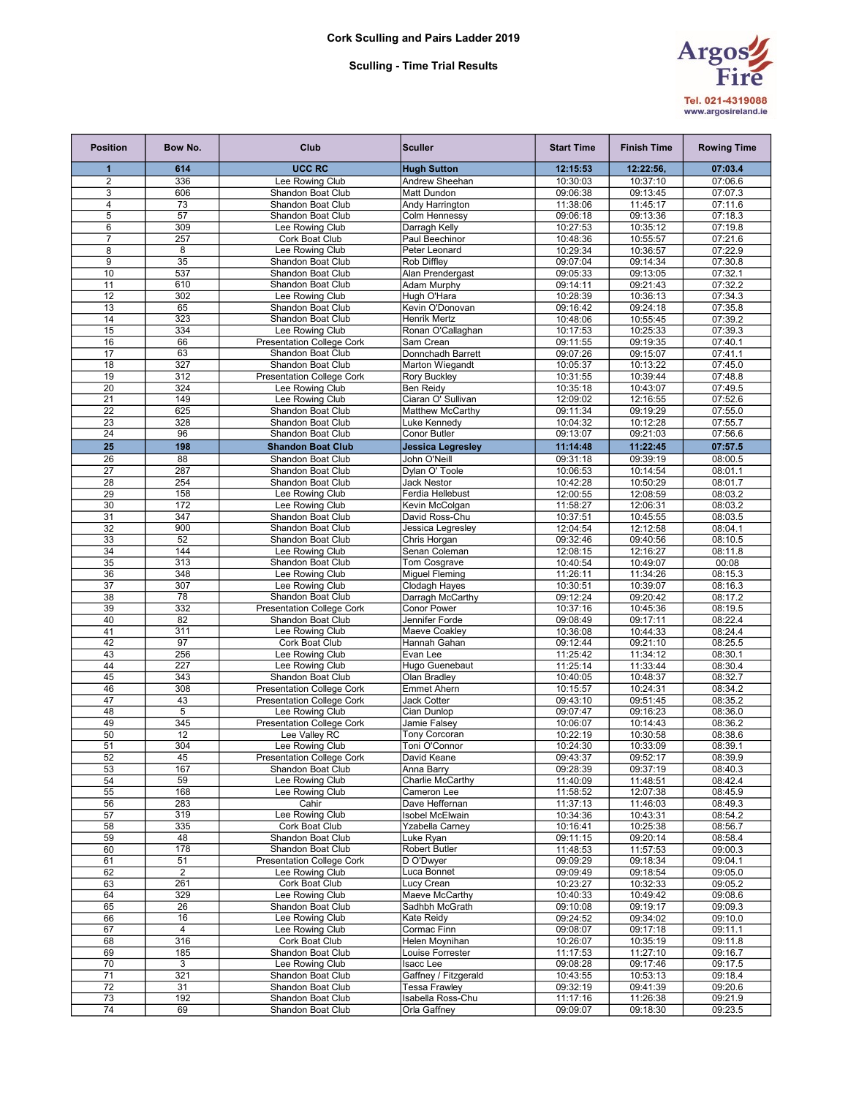## Sculling - Time Trial Results



| <b>Position</b>     | Bow No.        | Club                                                  | <b>Sculler</b>                         | <b>Start Time</b>    | <b>Finish Time</b>   | <b>Rowing Time</b> |
|---------------------|----------------|-------------------------------------------------------|----------------------------------------|----------------------|----------------------|--------------------|
| 1                   | 614            | <b>UCC RC</b>                                         | <b>Hugh Sutton</b>                     | 12:15:53             | 12:22:56,            | 07:03.4            |
| 2                   | 336            | Lee Rowing Club                                       | <b>Andrew Sheehan</b>                  | 10:30:03             | 10:37:10             | 07:06.6            |
| 3                   | 606            | Shandon Boat Club                                     | Matt Dundon                            | 09:06:38             | 09:13:45             | 07:07.3            |
| 4                   | 73             | Shandon Boat Club                                     | Andy Harrington                        | 11:38:06             | 11:45:17             | 07:11.6            |
| $\overline{5}$      | 57             | Shandon Boat Club                                     | Colm Hennessy                          | 09:06:18             | 09:13:36             | 07:18.3            |
| 6<br>$\overline{7}$ | 309            | Lee Rowing Club                                       | Darragh Kelly                          | 10:27:53             | 10:35:12             | 07:19.8            |
| 8                   | 257<br>8       | Cork Boat Club<br>Lee Rowing Club                     | Paul Beechinor<br>Peter Leonard        | 10:48:36<br>10:29:34 | 10:55:57<br>10:36:57 | 07:21.6<br>07:22.9 |
| 9                   | 35             | Shandon Boat Club                                     | Rob Diffley                            | 09:07:04             | 09:14:34             | 07:30.8            |
| 10                  | 537            | Shandon Boat Club                                     | Alan Prendergast                       | 09:05:33             | 09:13:05             | 07:32.1            |
| 11                  | 610            | Shandon Boat Club                                     | Adam Murphy                            | 09:14:11             | 09:21:43             | 07:32.2            |
| 12                  | 302            | Lee Rowing Club                                       | Hugh O'Hara                            | 10:28:39             | 10:36:13             | 07:34.3            |
| 13                  | 65             | <b>Shandon Boat Club</b>                              | Kevin O'Donovan                        | 09:16:42             | 09:24:18             | 07:35.8            |
| 14                  | 323            | <b>Shandon Boat Club</b>                              | Henrik Mertz                           | 10:48:06             | 10:55:45             | 07:39.2            |
| 15                  | 334            | Lee Rowing Club                                       | Ronan O'Callaghan                      | 10:17:53             | 10:25:33             | 07:39.3            |
| 16                  | 66             | <b>Presentation College Cork</b>                      | Sam Crean                              | 09:11:55             | 09:19:35             | 07:40.1            |
| 17<br>18            | 63<br>327      | Shandon Boat Club                                     | Donnchadh Barrett                      | 09:07:26             | 09:15:07<br>10:13:22 | 07:41.1<br>07:45.0 |
| 19                  | 312            | Shandon Boat Club<br><b>Presentation College Cork</b> | Marton Wiegandt<br><b>Rory Buckley</b> | 10:05:37<br>10:31:55 | 10:39:44             | 07:48.8            |
| 20                  | 324            | Lee Rowing Club                                       | <b>Ben Reidy</b>                       | 10:35:18             | 10:43:07             | 07:49.5            |
| 21                  | 149            | Lee Rowing Club                                       | Ciaran O' Sullivan                     | 12:09:02             | 12:16:55             | 07:52.6            |
| 22                  | 625            | Shandon Boat Club                                     | Matthew McCarthy                       | 09:11:34             | 09:19:29             | 07:55.0            |
| 23                  | 328            | <b>Shandon Boat Club</b>                              | Luke Kennedy                           | 10:04:32             | 10:12:28             | 07:55.7            |
| 24                  | 96             | Shandon Boat Club                                     | Conor Butler                           | 09:13:07             | 09:21:03             | 07:56.6            |
| 25                  | 198            | <b>Shandon Boat Club</b>                              | <b>Jessica Legresley</b>               | 11:14:48             | 11:22:45             | 07:57.5            |
| 26                  | 88             | <b>Shandon Boat Club</b>                              | John O'Neill                           | 09:31:18             | 09:39:19             | 08:00.5            |
| 27                  | 287            | Shandon Boat Club                                     | Dylan O' Toole                         | 10:06:53             | 10:14:54             | 08:01.1            |
| 28                  | 254            | Shandon Boat Club                                     | <b>Jack Nestor</b>                     | 10:42:28             | 10:50:29             | 08:01.7            |
| 29                  | 158            | Lee Rowing Club                                       | Ferdia Hellebust                       | 12:00:55             | 12:08:59             | 08:03.2            |
| 30                  | 172            | Lee Rowing Club                                       | Kevin McColgan                         | 11:58:27             | 12:06:31             | 08:03.2            |
| 31                  | 347<br>900     | Shandon Boat Club                                     | David Ross-Chu                         | 10:37:51             | 10:45:55             | 08:03.5            |
| 32<br>33            | 52             | Shandon Boat Club<br>Shandon Boat Club                | Jessica Legresley<br>Chris Horgan      | 12:04:54<br>09:32:46 | 12:12:58<br>09:40:56 | 08:04.1<br>08:10.5 |
| 34                  | 144            | Lee Rowing Club                                       | Senan Coleman                          | 12:08:15             | 12:16:27             | 08:11.8            |
| 35                  | 313            | Shandon Boat Club                                     | Tom Cosgrave                           | 10:40:54             | 10:49:07             | 00:08              |
| 36                  | 348            | Lee Rowing Club                                       | <b>Miguel Fleming</b>                  | 11:26:11             | 11:34:26             | 08:15.3            |
| 37                  | 307            | Lee Rowing Club                                       | Clodagh Hayes                          | 10:30:51             | 10:39:07             | 08:16.3            |
| 38                  | 78             | Shandon Boat Club                                     | Darragh McCarthy                       | 09:12:24             | 09:20:42             | 08:17.2            |
| 39                  | 332            | <b>Presentation College Cork</b>                      | Conor Power                            | 10:37:16             | 10:45:36             | 08:19.5            |
| 40                  | 82             | Shandon Boat Club                                     | Jennifer Forde                         | 09:08:49             | 09:17:11             | 08:22.4            |
| 41                  | 311            | Lee Rowing Club                                       | Maeve Coakley                          | 10:36:08             | 10:44:33             | 08:24.4            |
| 42                  | 97<br>256      | Cork Boat Club<br>Lee Rowing Club                     | Hannah Gahan<br>Evan Lee               | 09:12:44             | 09:21:10             | 08:25.5            |
| 43<br>44            | 227            | Lee Rowing Club                                       | Hugo Guenebaut                         | 11:25:42<br>11:25:14 | 11:34:12<br>11:33:44 | 08:30.1<br>08:30.4 |
| 45                  | 343            | Shandon Boat Club                                     | Olan Bradlev                           | 10:40:05             | 10:48:37             | 08:32.7            |
| 46                  | 308            | <b>Presentation College Cork</b>                      | <b>Emmet Ahern</b>                     | 10:15:57             | 10:24:31             | 08:34.2            |
| 47                  | 43             | <b>Presentation College Cork</b>                      | <b>Jack Cotter</b>                     | 09:43:10             | 09:51:45             | 08:35.2            |
| 48                  | 5              | Lee Rowing Club                                       | Cian Dunlop                            | 09:07:47             | 09:16:23             | 08:36.0            |
| 49                  | 345            | <b>Presentation College Cork</b>                      | Jamie Falsey                           | 10:06:07             | 10:14:43             | 08:36.2            |
| 50                  | 12             | Lee Valley RC                                         | <b>Tony Corcoran</b>                   | 10:22:19             | 10:30:58             | 08:38.6            |
| 51                  | 304            | Lee Rowing Club                                       | Toni O'Connor                          | 10:24:30             | 10:33:09             | 08:39.1            |
| 52                  | 45             | <b>Presentation College Cork</b>                      | David Keane                            | 09:43:37             | 09:52:17             | 08:39.9            |
| 53<br>54            | 167<br>59      | Shandon Boat Club<br>Lee Rowing Club                  | Anna Barry<br>Charlie McCarthy         | 09:28:39<br>11:40:09 | 09:37:19<br>11:48:51 | 08:40.3<br>08:42.4 |
| 55                  | 168            | Lee Rowing Club                                       | Cameron Lee                            | 11:58:52             | 12:07:38             | 08:45.9            |
| 56                  | 283            | Cahir                                                 | Dave Heffernan                         | 11:37:13             | 11:46:03             | 08:49.3            |
| 57                  | 319            | Lee Rowing Club                                       | Isobel McElwain                        | 10:34:36             | 10:43:31             | 08:54.2            |
| 58                  | 335            | Cork Boat Club                                        | Yzabella Carney                        | 10:16:41             | 10:25:38             | 08:56.7            |
| 59                  | 48             | Shandon Boat Club                                     | Luke Ryan                              | 09:11:15             | 09:20:14             | 08:58.4            |
| 60                  | 178            | Shandon Boat Club                                     | <b>Robert Butler</b>                   | 11:48:53             | 11:57:53             | 09:00.3            |
| 61                  | 51             | <b>Presentation College Cork</b>                      | D O'Dwver                              | 09:09:29             | 09:18:34             | 09:04.1            |
| 62                  | $\overline{2}$ | Lee Rowing Club                                       | Luca Bonnet                            | 09:09:49             | 09:18:54             | 09:05.0            |
| 63<br>64            | 261<br>329     | Cork Boat Club<br>Lee Rowing Club                     | Lucy Crean<br>Maeve McCarthy           | 10:23:27<br>10:40:33 | 10:32:33<br>10:49:42 | 09:05.2<br>09:08.6 |
| 65                  | 26             | Shandon Boat Club                                     | Sadhbh McGrath                         | 09:10:08             | 09:19:17             | 09:09.3            |
| 66                  | 16             | Lee Rowing Club                                       | Kate Reidy                             | 09:24:52             | 09:34:02             | 09:10.0            |
| 67                  | 4              | Lee Rowing Club                                       | Cormac Finn                            | 09:08:07             | 09:17:18             | 09:11.1            |
| 68                  | 316            | Cork Boat Club                                        | Helen Moynihan                         | 10:26:07             | 10:35:19             | 09:11.8            |
| 69                  | 185            | Shandon Boat Club                                     | Louise Forrester                       | 11:17:53             | 11:27:10             | 09:16.7            |
| 70                  | 3              | Lee Rowing Club                                       | <b>Isacc Lee</b>                       | 09:08:28             | 09:17:46             | 09:17.5            |
| 71                  | 321            | Shandon Boat Club                                     | Gaffney / Fitzgerald                   | 10:43:55             | 10:53:13             | 09:18.4            |
| 72                  | 31             | Shandon Boat Club                                     | <b>Tessa Frawley</b>                   | 09:32:19             | 09:41:39             | 09:20.6            |
| 73<br>74            | 192<br>69      | Shandon Boat Club<br>Shandon Boat Club                | Isabella Ross-Chu<br>Orla Gaffney      | 11:17:16<br>09:09:07 | 11:26:38<br>09:18:30 | 09:21.9<br>09:23.5 |
|                     |                |                                                       |                                        |                      |                      |                    |